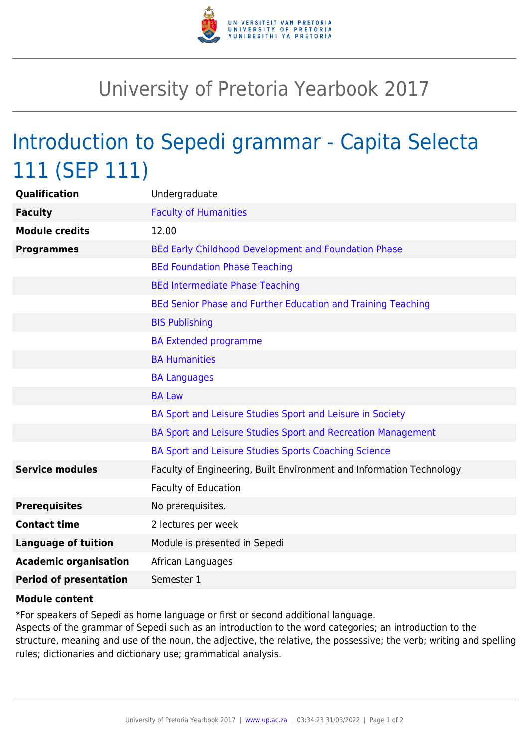

## University of Pretoria Yearbook 2017

## Introduction to Sepedi grammar - Capita Selecta 111 (SEP 111)

| Undergraduate                                                        |
|----------------------------------------------------------------------|
| <b>Faculty of Humanities</b>                                         |
| 12.00                                                                |
| BEd Early Childhood Development and Foundation Phase                 |
| <b>BEd Foundation Phase Teaching</b>                                 |
| <b>BEd Intermediate Phase Teaching</b>                               |
| BEd Senior Phase and Further Education and Training Teaching         |
| <b>BIS Publishing</b>                                                |
| <b>BA Extended programme</b>                                         |
| <b>BA Humanities</b>                                                 |
| <b>BA Languages</b>                                                  |
| <b>BA Law</b>                                                        |
| BA Sport and Leisure Studies Sport and Leisure in Society            |
| BA Sport and Leisure Studies Sport and Recreation Management         |
| BA Sport and Leisure Studies Sports Coaching Science                 |
| Faculty of Engineering, Built Environment and Information Technology |
| <b>Faculty of Education</b>                                          |
| No prerequisites.                                                    |
| 2 lectures per week                                                  |
| Module is presented in Sepedi                                        |
| African Languages                                                    |
| Semester 1                                                           |
|                                                                      |

## **Module content**

\*For speakers of Sepedi as home language or first or second additional language.

Aspects of the grammar of Sepedi such as an introduction to the word categories; an introduction to the structure, meaning and use of the noun, the adjective, the relative, the possessive; the verb; writing and spelling rules; dictionaries and dictionary use; grammatical analysis.